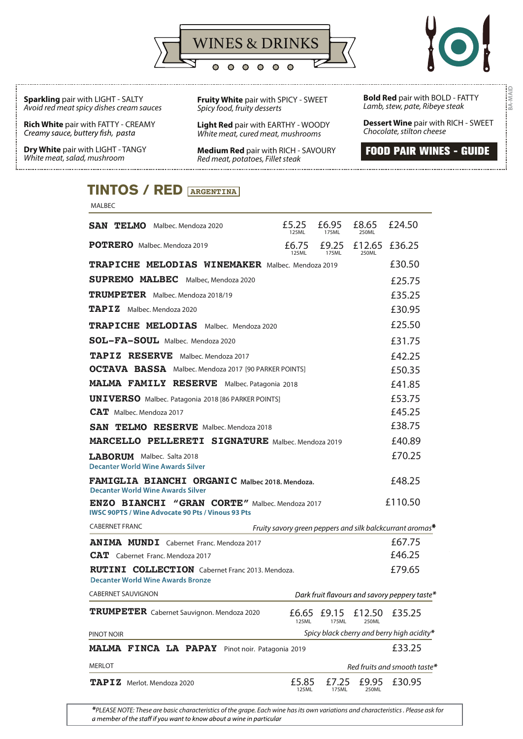



**BA-MAID**

**Sparkling** pair with LIGHT - SALTY *Avoid red meat spicy dishes cream sauces*

**Rich White** pair with FATTY - CREAMY Creamy sauce, buttery fish, pasta

MALBEC

**Dry White** pair with LIGHT - TANGY *White meat, salad, mushroom* 

**Fruity White** pair with SPICY - SWEET *Spicy food, fruity desserts*

**Light Red** pair with EARTHY - WOODY *White meat, cured meat, mushrooms*

**Medium Red** pair with RICH - SAVOURY *Red meat, potatoes, Fillet steak*

 **Bold Red** pair with BOLD - FATTY *Lamb, stew, pate, Ribeye steak*

**Dessert Wine** pair with RICH - SWEET *Chocolate, stilton cheese*

**FOOD PAIR WINES - GUIDE**

## **TINTOS / RED ARGENTINA**

| <b>SAN TELMO</b> Malbec. Mendoza 2020                                                                             | £5.25<br>125ML | £6.95<br>175ML | £8.65<br>250ML               | £24.50                                                    |
|-------------------------------------------------------------------------------------------------------------------|----------------|----------------|------------------------------|-----------------------------------------------------------|
| <b>POTRERO</b> Malbec. Mendoza 2019                                                                               | £6.75<br>125ML | 175ML          | £9.25 £12.65 £36.25<br>250ML |                                                           |
| <b>TRAPICHE MELODIAS WINEMAKER Malbec. Mendoza 2019</b>                                                           |                |                |                              | £30.50                                                    |
| <b>SUPREMO MALBEC</b> Malbec, Mendoza 2020                                                                        |                |                |                              | £25.75                                                    |
| TRUMPETER Malbec. Mendoza 2018/19                                                                                 |                |                |                              | £35.25                                                    |
| $TAPIZ$ Malbec. Mendoza 2020                                                                                      |                |                |                              | £30.95                                                    |
| <b>TRAPICHE MELODIAS</b> Malbec. Mendoza 2020                                                                     |                |                |                              | £25.50                                                    |
| SOL-FA-SOUL Malbec. Mendoza 2020                                                                                  |                |                |                              | £31.75                                                    |
| <b>TAPIZ RESERVE</b> Malbec. Mendoza 2017                                                                         |                |                |                              | £42.25                                                    |
| <b>OCTAVA BASSA</b> Malbec. Mendoza 2017 [90 PARKER POINTS]                                                       |                |                |                              | £50.35                                                    |
| MALMA FAMILY RESERVE Malbec. Patagonia 2018                                                                       |                |                |                              | £41.85                                                    |
| <b>UNIVERSO</b> Malbec. Patagonia 2018 [86 PARKER POINTS]                                                         |                |                |                              | £53.75                                                    |
| <b>CAT</b> Malbec. Mendoza 2017                                                                                   |                |                |                              | £45.25                                                    |
| <b>SAN TELMO RESERVE</b> Malbec, Mendoza 2018                                                                     |                |                |                              | £38.75                                                    |
| <b>MARCELLO PELLERETI SIGNATURE</b> Malbec, Mendoza 2019                                                          |                |                |                              | £40.89                                                    |
| <b>LABORUM</b> Malbec. Salta 2018<br><b>Decanter World Wine Awards Silver</b>                                     |                |                |                              | £70.25                                                    |
| FAMIGLIA BIANCHI ORGANIC Malbec 2018. Mendoza.<br><b>Decanter World Wine Awards Silver</b>                        |                |                |                              | £48.25                                                    |
| <b>ENZO BIANCHI "GRAN CORTE"</b> Malbec. Mendoza 2017<br><b>IWSC 90PTS / Wine Advocate 90 Pts / Vinous 93 Pts</b> |                |                |                              | £110.50                                                   |
| <b>CABERNET FRANC</b>                                                                                             |                |                |                              | Fruity savory green peppers and silk balckcurrant aromas* |
| <b>ANIMA MUNDI</b> Cabernet Franc, Mendoza 2017                                                                   |                |                |                              | £67.75                                                    |
| <b>CAT</b> Cabernet Franc. Mendoza 2017                                                                           |                |                |                              | £46.25                                                    |
| <b>RUTINI COLLECTION</b> Cabernet Franc 2013. Mendoza.<br><b>Decanter World Wine Awards Bronze</b>                |                |                |                              | £79.65                                                    |
| <b>CABERNET SAUVIGNON</b>                                                                                         |                |                |                              | Dark fruit flavours and savory peppery taste*             |
| TRUMPETER Cabernet Sauvignon. Mendoza 2020                                                                        | £6.65<br>125ML | £9.15<br>175ML | £12.50<br>250ML              | £35.25                                                    |
| PINOT NOIR                                                                                                        |                |                |                              | Spicy black cherry and berry high acidity*                |
| MALMA FINCA LA PAPAY Pinot noir. Patagonia 2019                                                                   |                |                |                              | £33.25                                                    |
| <b>MERLOT</b>                                                                                                     |                |                |                              | Red fruits and smooth taste*                              |
| TAPIZ Merlot. Mendoza 2020                                                                                        | £5.85<br>125ML | £7.25<br>175ML | £9.95<br>250ML               | £30.95                                                    |

*\*PLEASE NOTE: These are basic characteristics of the grape. Each wine has its own variations and characteristics . Please ask for*